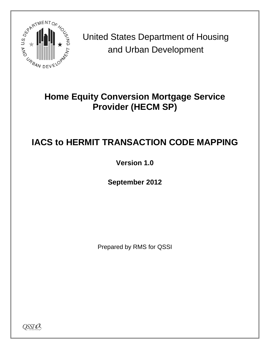

United States Department of Housing and Urban Development

## **Home Equity Conversion Mortgage Service Provider (HECM SP)**

## **IACS to HERMIT TRANSACTION CODE MAPPING**

**Version 1.0**

**September 2012**

Prepared by RMS for QSSI

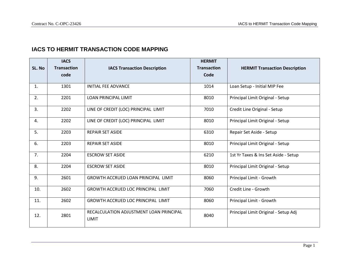## **IACS TO HERMIT TRANSACTION CODE MAPPING**

| SL. No         | <b>IACS</b><br><b>Transaction</b><br>code | <b>IACS Transaction Description</b>                     | <b>HERMIT</b><br><b>Transaction</b><br>Code | <b>HERMIT Transaction Description</b> |
|----------------|-------------------------------------------|---------------------------------------------------------|---------------------------------------------|---------------------------------------|
| $\mathbf{1}$ . | 1301                                      | <b>INITIAL FEE ADVANCE</b>                              | 1014                                        | Loan Setup - Initial MIP Fee          |
| 2.             | 2201                                      | <b>LOAN PRINCIPAL LIMIT</b>                             | 8010                                        | Principal Limit Original - Setup      |
| 3.             | 2202                                      | LINE OF CREDIT (LOC) PRINCIPAL LIMIT                    | 7010                                        | Credit Line Original - Setup          |
| 4.             | 2202                                      | LINE OF CREDIT (LOC) PRINCIPAL LIMIT                    | 8010                                        | Principal Limit Original - Setup      |
| 5.             | 2203                                      | <b>REPAIR SET ASIDE</b>                                 | 6310                                        | Repair Set Aside - Setup              |
| 6.             | 2203                                      | <b>REPAIR SET ASIDE</b>                                 | 8010                                        | Principal Limit Original - Setup      |
| 7.             | 2204                                      | <b>ESCROW SET ASIDE</b>                                 | 6210                                        | 1st Yr Taxes & Ins Set Aside - Setup  |
| 8.             | 2204                                      | <b>ESCROW SET ASIDE</b>                                 | 8010                                        | Principal Limit Original - Setup      |
| 9.             | 2601                                      | GROWTH ACCRUED LOAN PRINCIPAL LIMIT                     | 8060                                        | Principal Limit - Growth              |
| 10.            | 2602                                      | GROWTH ACCRUED LOC PRINCIPAL LIMIT                      | 7060                                        | Credit Line - Growth                  |
| 11.            | 2602                                      | <b>GROWTH ACCRUED LOC PRINCIPAL LIMIT</b>               | 8060                                        | Principal Limit - Growth              |
| 12.            | 2801                                      | RECALCULATION ADJUSTMENT LOAN PRINCIPAL<br><b>LIMIT</b> | 8040                                        | Principal Limit Original - Setup Adj  |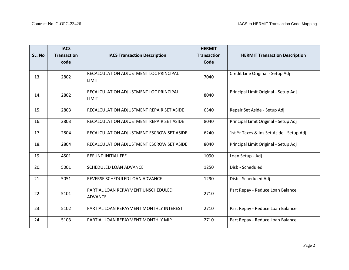| SL. No | <b>IACS</b><br><b>Transaction</b><br>code | <b>IACS Transaction Description</b>                    | <b>HERMIT</b><br><b>Transaction</b><br>Code | <b>HERMIT Transaction Description</b>    |
|--------|-------------------------------------------|--------------------------------------------------------|---------------------------------------------|------------------------------------------|
| 13.    | 2802                                      | RECALCULATION ADJUSTMENT LOC PRINCIPAL<br><b>LIMIT</b> | 7040                                        | Credit Line Original - Setup Adj         |
| 14.    | 2802                                      | RECALCULATION ADJUSTMENT LOC PRINCIPAL<br>LIMIT        | 8040                                        | Principal Limit Original - Setup Adj     |
| 15.    | 2803                                      | RECALCULATION ADJUSTMENT REPAIR SET ASIDE              | 6340                                        | Repair Set Aside - Setup Adj             |
| 16.    | 2803                                      | RECALCULATION ADJUSTMENT REPAIR SET ASIDE              | 8040                                        | Principal Limit Original - Setup Adj     |
| 17.    | 2804                                      | RECALCULATION ADJUSTMENT ESCROW SET ASIDE              | 6240                                        | 1st Yr Taxes & Ins Set Aside - Setup Adj |
| 18.    | 2804                                      | RECALCULATION ADJUSTMENT ESCROW SET ASIDE              | 8040                                        | Principal Limit Original - Setup Adj     |
| 19.    | 4501                                      | <b>REFUND INITIAL FEE</b>                              | 1090                                        | Loan Setup - Adj                         |
| 20.    | 5001                                      | <b>SCHEDULED LOAN ADVANCE</b>                          | 1250                                        | Disb - Scheduled                         |
| 21.    | 5051                                      | REVERSE SCHEDULED LOAN ADVANCE                         | 1290                                        | Disb - Scheduled Adj                     |
| 22.    | 5101                                      | PARTIAL LOAN REPAYMENT UNSCHEDULED<br><b>ADVANCE</b>   | 2710                                        | Part Repay - Reduce Loan Balance         |
| 23.    | 5102                                      | PARTIAL LOAN REPAYMENT MONTHLY INTEREST                | 2710                                        | Part Repay - Reduce Loan Balance         |
| 24.    | 5103                                      | PARTIAL LOAN REPAYMENT MONTHLY MIP                     | 2710                                        | Part Repay - Reduce Loan Balance         |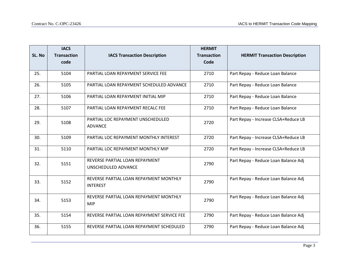| SL. No | <b>IACS</b><br><b>Transaction</b><br>code | <b>IACS Transaction Description</b>                       | <b>HERMIT</b><br><b>Transaction</b><br>Code | <b>HERMIT Transaction Description</b> |
|--------|-------------------------------------------|-----------------------------------------------------------|---------------------------------------------|---------------------------------------|
| 25.    | 5104                                      | PARTIAL LOAN REPAYMENT SERVICE FEE                        | 2710                                        | Part Repay - Reduce Loan Balance      |
| 26.    | 5105                                      | PARTIAL LOAN REPAYMENT SCHEDULED ADVANCE                  | 2710                                        | Part Repay - Reduce Loan Balance      |
| 27.    | 5106                                      | PARTIAL LOAN REPAYMENT INITIAL MIP                        | 2710                                        | Part Repay - Reduce Loan Balance      |
| 28.    | 5107                                      | PARTIAL LOAN REPAYMENT RECALC FEE                         | 2710                                        | Part Repay - Reduce Loan Balance      |
| 29.    | 5108                                      | PARTIAL LOC REPAYMENT UNSCHEDULED<br><b>ADVANCE</b>       | 2720                                        | Part Repay - Increase CLSA+Reduce LB  |
| 30.    | 5109                                      | PARTIAL LOC REPAYMENT MONTHLY INTEREST                    | 2720                                        | Part Repay - Increase CLSA+Reduce LB  |
| 31.    | 5110                                      | PARTIAL LOC REPAYMENT MONTHLY MIP                         | 2720                                        | Part Repay - Increase CLSA+Reduce LB  |
| 32.    | 5151                                      | REVERSE PARTIAL LOAN REPAYMENT<br>UNSCHEDULED ADVANCE     | 2790                                        | Part Repay - Reduce Loan Balance Adj  |
| 33.    | 5152                                      | REVERSE PARTIAL LOAN REPAYMENT MONTHLY<br><b>INTEREST</b> | 2790                                        | Part Repay - Reduce Loan Balance Adj  |
| 34.    | 5153                                      | REVERSE PARTIAL LOAN REPAYMENT MONTHLY<br><b>MIP</b>      | 2790                                        | Part Repay - Reduce Loan Balance Adj  |
| 35.    | 5154                                      | REVERSE PARTIAL LOAN REPAYMENT SERVICE FEE                | 2790                                        | Part Repay - Reduce Loan Balance Adj  |
| 36.    | 5155                                      | REVERSE PARTIAL LOAN REPAYMENT SCHEDULED                  | 2790                                        | Part Repay - Reduce Loan Balance Adj  |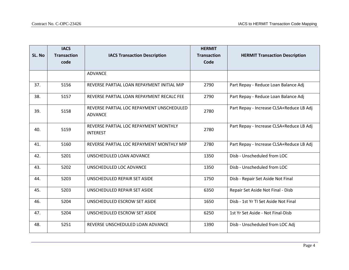| SL. No | <b>IACS</b><br><b>Transaction</b><br>code | <b>IACS Transaction Description</b>                         | <b>HERMIT</b><br><b>Transaction</b><br>Code | <b>HERMIT Transaction Description</b>    |
|--------|-------------------------------------------|-------------------------------------------------------------|---------------------------------------------|------------------------------------------|
|        |                                           | <b>ADVANCE</b>                                              |                                             |                                          |
|        |                                           |                                                             |                                             |                                          |
| 37.    | 5156                                      | REVERSE PARTIAL LOAN REPAYMENT INITIAL MIP                  | 2790                                        | Part Repay - Reduce Loan Balance Adj     |
| 38.    | 5157                                      | REVERSE PARTIAL LOAN REPAYMENT RECALC FEE                   | 2790                                        | Part Repay - Reduce Loan Balance Adj     |
| 39.    | 5158                                      | REVERSE PARTIAL LOC REPAYMENT UNSCHEDULED<br><b>ADVANCE</b> | 2780                                        | Part Repay - Increase CLSA+Reduce LB Adj |
| 40.    | 5159                                      | REVERSE PARTIAL LOC REPAYMENT MONTHLY<br><b>INTEREST</b>    | 2780                                        | Part Repay - Increase CLSA+Reduce LB Adj |
| 41.    | 5160                                      | REVERSE PARTIAL LOC REPAYMENT MONTHLY MIP                   | 2780                                        | Part Repay - Increase CLSA+Reduce LB Adj |
| 42.    | 5201                                      | UNSCHEDULED LOAN ADVANCE                                    | 1350                                        | Disb - Unscheduled from LOC              |
| 43.    | 5202                                      | UNSCHEDULED LOC ADVANCE                                     | 1350                                        | Disb - Unscheduled from LOC              |
| 44.    | 5203                                      | UNSCHEDULED REPAIR SET ASIDE                                | 1750                                        | Disb - Repair Set Aside Not Final        |
| 45.    | 5203                                      | UNSCHEDULED REPAIR SET ASIDE                                | 6350                                        | Repair Set Aside Not Final - Disb        |
| 46.    | 5204                                      | UNSCHEDULED ESCROW SET ASIDE                                | 1650                                        | Disb - 1st Yr TI Set Aside Not Final     |
| 47.    | 5204                                      | UNSCHEDULED ESCROW SET ASIDE                                | 6250                                        | 1st Yr Set Aside - Not Final-Disb        |
| 48.    | 5251                                      | REVERSE UNSCHEDULED LOAN ADVANCE                            | 1390                                        | Disb - Unscheduled from LOC Adj          |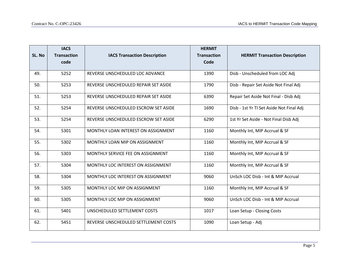| SL. No | <b>IACS</b><br><b>Transaction</b><br>code | <b>IACS Transaction Description</b>  | <b>HERMIT</b><br><b>Transaction</b><br>Code | <b>HERMIT Transaction Description</b>    |
|--------|-------------------------------------------|--------------------------------------|---------------------------------------------|------------------------------------------|
|        |                                           |                                      |                                             |                                          |
| 49.    | 5252                                      | REVERSE UNSCHEDULED LOC ADVANCE      | 1390                                        | Disb - Unscheduled from LOC Adj          |
| 50.    | 5253                                      | REVERSE UNSCHEDULED REPAIR SET ASIDE | 1790                                        | Disb - Repair Set Aside Not Final Adj    |
| 51.    | 5253                                      | REVERSE UNSCHEDULED REPAIR SET ASIDE | 6390                                        | Repair Set Aside Not Final - Disb Adj    |
| 52.    | 5254                                      | REVERSE UNSCHEDULED ESCROW SET ASIDE | 1690                                        | Disb - 1st Yr TI Set Aside Not Final Adj |
| 53.    | 5254                                      | REVERSE UNSCHEDULED ESCROW SET ASIDE | 6290                                        | 1st Yr Set Aside - Not Final Disb Adj    |
| 54.    | 5301                                      | MONTHLY LOAN INTEREST ON ASSIGNMENT  | 1160                                        | Monthly Int, MIP Accrual & SF            |
| 55.    | 5302                                      | MONTHLY LOAN MIP ON ASSIGNMENT       | 1160                                        | Monthly Int, MIP Accrual & SF            |
| 56.    | 5303                                      | MONTHLY SERVICE FEE ON ASSIGNMENT    | 1160                                        | Monthly Int, MIP Accrual & SF            |
| 57.    | 5304                                      | MONTHLY LOC INTEREST ON ASSIGNMENT   | 1160                                        | Monthly Int, MIP Accrual & SF            |
| 58.    | 5304                                      | MONTHLY LOC INTEREST ON ASSIGNMENT   | 9060                                        | UnSch LOC Disb - Int & MIP Accrual       |
| 59.    | 5305                                      | MONTHLY LOC MIP ON ASSIGNMENT        | 1160                                        | Monthly Int, MIP Accrual & SF            |
| 60.    | 5305                                      | MONTHLY LOC MIP ON ASSIGNMENT        | 9060                                        | UnSch LOC Disb - Int & MIP Accrual       |
| 61.    | 5401                                      | UNSCHEDULED SETTLEMENT COSTS         | 1017                                        | Loan Setup - Closing Costs               |
| 62.    | 5451                                      | REVERSE UNSCHEDULED SETTLEMENT COSTS | 1090                                        | Loan Setup - Adj                         |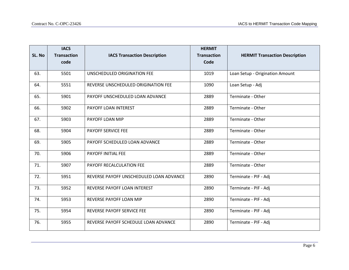| SL. No | <b>IACS</b><br><b>Transaction</b><br>code | <b>IACS Transaction Description</b>     | <b>HERMIT</b><br><b>Transaction</b><br>Code | <b>HERMIT Transaction Description</b> |
|--------|-------------------------------------------|-----------------------------------------|---------------------------------------------|---------------------------------------|
| 63.    | 5501                                      | UNSCHEDULED ORIGINATION FEE             | 1019                                        | Loan Setup - Origination Amount       |
| 64.    | 5551                                      | REVERSE UNSCHEDULED ORIGINATION FEE     | 1090                                        | Loan Setup - Adj                      |
| 65.    | 5901                                      | PAYOFF UNSCHEDULED LOAN ADVANCE         | 2889                                        | Terminate - Other                     |
| 66.    | 5902                                      | PAYOFF LOAN INTEREST                    | 2889                                        | Terminate - Other                     |
| 67.    | 5903                                      | PAYOFF LOAN MIP                         | 2889                                        | Terminate - Other                     |
| 68.    | 5904                                      | PAYOFF SERVICE FEE                      | 2889                                        | Terminate - Other                     |
| 69.    | 5905                                      | PAYOFF SCHEDULED LOAN ADVANCE           | 2889                                        | Terminate - Other                     |
| 70.    | 5906                                      | PAYOFF INITIAL FEE                      | 2889                                        | Terminate - Other                     |
| 71.    | 5907                                      | PAYOFF RECALCULATION FEE                | 2889                                        | Terminate - Other                     |
| 72.    | 5951                                      | REVERSE PAYOFF UNSCHEDULED LOAN ADVANCE | 2890                                        | Terminate - PIF - Adj                 |
| 73.    | 5952                                      | REVERSE PAYOFF LOAN INTEREST            | 2890                                        | Terminate - PIF - Adj                 |
| 74.    | 5953                                      | REVERSE PAYOFF LOAN MIP                 | 2890                                        | Terminate - PIF - Adj                 |
| 75.    | 5954                                      | REVERSE PAYOFF SERVICE FEE              | 2890                                        | Terminate - PIF - Adj                 |
| 76.    | 5955                                      | REVERSE PAYOFF SCHEDULE LOAN ADVANCE    | 2890                                        | Terminate - PIF - Adj                 |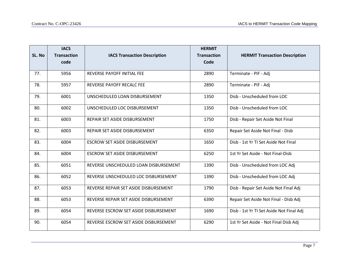| SL. No | <b>IACS</b><br><b>Transaction</b><br>code | <b>IACS Transaction Description</b>   | <b>HERMIT</b><br><b>Transaction</b><br>Code | <b>HERMIT Transaction Description</b>    |
|--------|-------------------------------------------|---------------------------------------|---------------------------------------------|------------------------------------------|
|        |                                           |                                       |                                             |                                          |
| 77.    | 5956                                      | <b>REVERSE PAYOFF INITIAL FEE</b>     | 2890                                        | Terminate - PIF - Adj                    |
| 78.    | 5957                                      | REVERSE PAYOFF RECALC FEE             | 2890                                        | Terminate - PIF - Adj                    |
| 79.    | 6001                                      | UNSCHEDULED LOAN DISBURSEMENT         | 1350                                        | Disb - Unscheduled from LOC              |
| 80.    | 6002                                      | UNSCHEDULED LOC DISBURSEMENT          | 1350                                        | Disb - Unscheduled from LOC              |
| 81.    | 6003                                      | REPAIR SET ASIDE DISBURSEMENT         | 1750                                        | Disb - Repair Set Aside Not Final        |
| 82.    | 6003                                      | REPAIR SET ASIDE DISBURSEMENT         | 6350                                        | Repair Set Aside Not Final - Disb        |
| 83.    | 6004                                      | <b>ESCROW SET ASIDE DISBURSEMENT</b>  | 1650                                        | Disb - 1st Yr TI Set Aside Not Final     |
| 84.    | 6004                                      | <b>ESCROW SET ASIDE DISBURSEMENT</b>  | 6250                                        | 1st Yr Set Aside - Not Final-Disb        |
| 85.    | 6051                                      | REVERSE UNSCHEDULED LOAN DISBURSEMENT | 1390                                        | Disb - Unscheduled from LOC Adj          |
| 86.    | 6052                                      | REVERSE UNSCHEDULED LOC DISBURSEMENT  | 1390                                        | Disb - Unscheduled from LOC Adj          |
| 87.    | 6053                                      | REVERSE REPAIR SET ASIDE DISBURSEMENT | 1790                                        | Disb - Repair Set Aside Not Final Adj    |
| 88.    | 6053                                      | REVERSE REPAIR SET ASIDE DISBURSEMENT | 6390                                        | Repair Set Aside Not Final - Disb Adj    |
| 89.    | 6054                                      | REVERSE ESCROW SET ASIDE DISBURSEMENT | 1690                                        | Disb - 1st Yr TI Set Aside Not Final Adj |
| 90.    | 6054                                      | REVERSE ESCROW SET ASIDE DISBURSEMENT | 6290                                        | 1st Yr Set Aside - Not Final Disb Adj    |